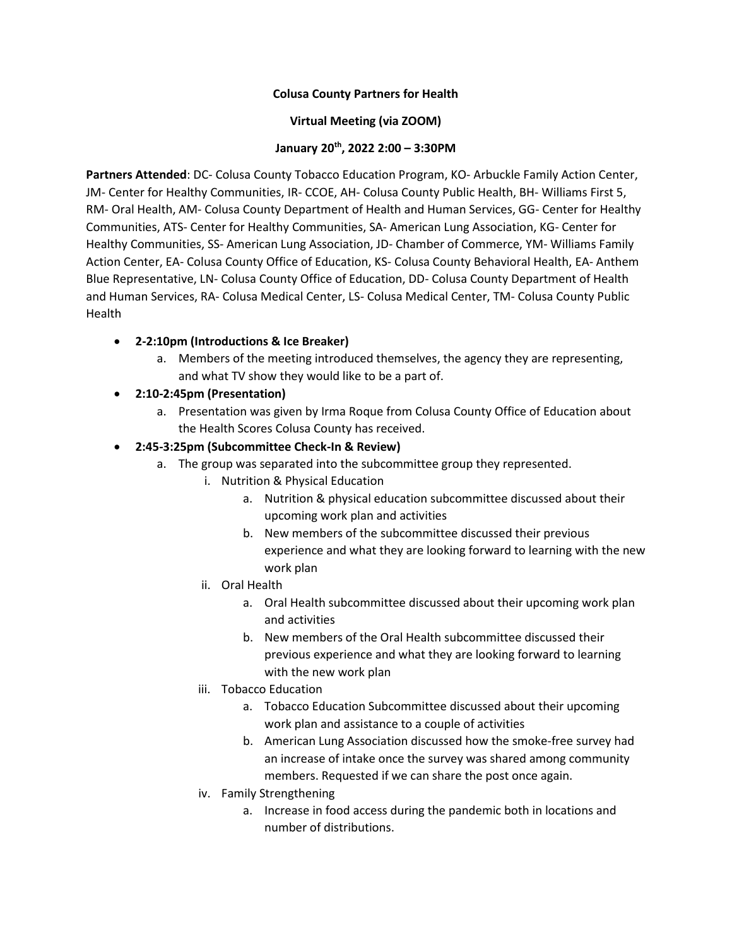## **Colusa County Partners for Health**

## **Virtual Meeting (via ZOOM)**

## **January 20th, 2022 2:00 – 3:30PM**

**Partners Attended**: DC- Colusa County Tobacco Education Program, KO- Arbuckle Family Action Center, JM- Center for Healthy Communities, IR- CCOE, AH- Colusa County Public Health, BH- Williams First 5, RM- Oral Health, AM- Colusa County Department of Health and Human Services, GG- Center for Healthy Communities, ATS- Center for Healthy Communities, SA- American Lung Association, KG- Center for Healthy Communities, SS- American Lung Association, JD- Chamber of Commerce, YM- Williams Family Action Center, EA- Colusa County Office of Education, KS- Colusa County Behavioral Health, EA- Anthem Blue Representative, LN- Colusa County Office of Education, DD- Colusa County Department of Health and Human Services, RA- Colusa Medical Center, LS- Colusa Medical Center, TM- Colusa County Public Health

- **2-2:10pm (Introductions & Ice Breaker)**
	- a. Members of the meeting introduced themselves, the agency they are representing, and what TV show they would like to be a part of.
- **2:10-2:45pm (Presentation)**
	- a. Presentation was given by Irma Roque from Colusa County Office of Education about the Health Scores Colusa County has received.
- **2:45-3:25pm (Subcommittee Check-In & Review)**
	- a. The group was separated into the subcommittee group they represented.
		- i. Nutrition & Physical Education
			- a. Nutrition & physical education subcommittee discussed about their upcoming work plan and activities
			- b. New members of the subcommittee discussed their previous experience and what they are looking forward to learning with the new work plan
		- ii. Oral Health
			- a. Oral Health subcommittee discussed about their upcoming work plan and activities
			- b. New members of the Oral Health subcommittee discussed their previous experience and what they are looking forward to learning with the new work plan
		- iii. Tobacco Education
			- a. Tobacco Education Subcommittee discussed about their upcoming work plan and assistance to a couple of activities
			- b. American Lung Association discussed how the smoke-free survey had an increase of intake once the survey was shared among community members. Requested if we can share the post once again.
		- iv. Family Strengthening
			- a. Increase in food access during the pandemic both in locations and number of distributions.